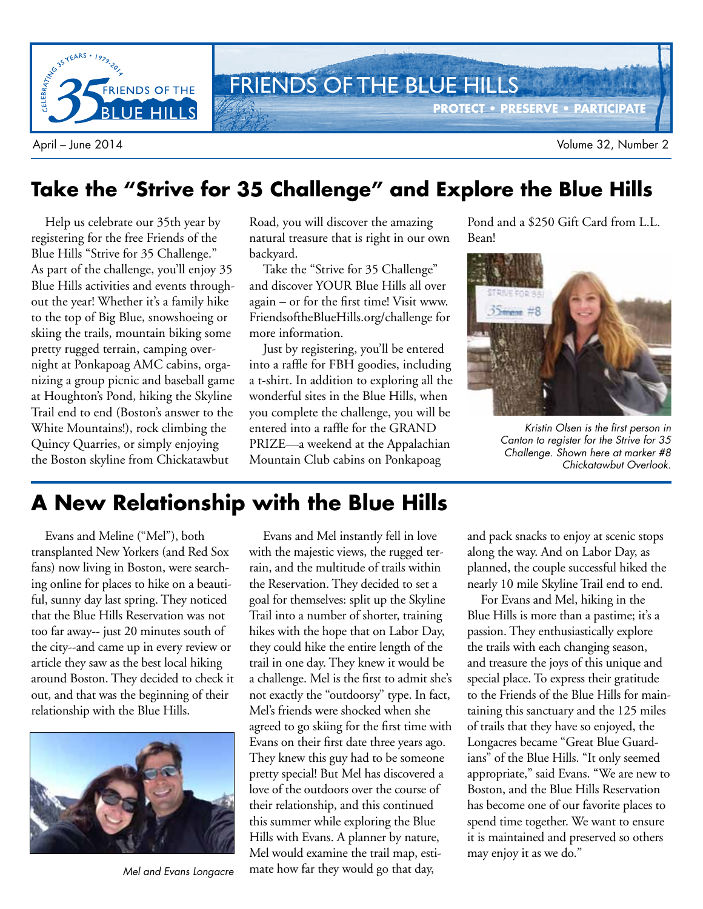

### **Take the "Strive for 35 Challenge" and Explore the Blue Hills**

Help us celebrate our 35th year by registering for the free Friends of the Blue Hills "Strive for 35 Challenge." As part of the challenge, you'll enjoy 35 Blue Hills activities and events throughout the year! Whether it's a family hike to the top of Big Blue, snowshoeing or skiing the trails, mountain biking some pretty rugged terrain, camping overnight at Ponkapoag AMC cabins, organizing a group picnic and baseball game at Houghton's Pond, hiking the Skyline Trail end to end (Boston's answer to the White Mountains!), rock climbing the Quincy Quarries, or simply enjoying the Boston skyline from Chickatawbut

Road, you will discover the amazing natural treasure that is right in our own backyard.

Take the "Strive for 35 Challenge" and discover YOUR Blue Hills all over again – or for the first time! Visit www. FriendsoftheBlueHills.org/challenge for more information.

Just by registering, you'll be entered into a raffle for FBH goodies, including a t-shirt. In addition to exploring all the wonderful sites in the Blue Hills, when you complete the challenge, you will be entered into a raffle for the GRAND PRIZE—a weekend at the Appalachian Mountain Club cabins on Ponkapoag

Pond and a \$250 Gift Card from L.L. Bean!



Kristin Olsen is the first person in Canton to register for the Strive for 35 Challenge. Shown here at marker #8 Chickatawbut Overlook.

## **A New Relationship with the Blue Hills**

Evans and Meline ("Mel"), both transplanted New Yorkers (and Red Sox fans) now living in Boston, were searching online for places to hike on a beautiful, sunny day last spring. They noticed that the Blue Hills Reservation was not too far away-- just 20 minutes south of the city--and came up in every review or article they saw as the best local hiking around Boston. They decided to check it out, and that was the beginning of their relationship with the Blue Hills.



Mel and Evans Longacre

Evans and Mel instantly fell in love with the majestic views, the rugged terrain, and the multitude of trails within the Reservation. They decided to set a goal for themselves: split up the Skyline Trail into a number of shorter, training hikes with the hope that on Labor Day, they could hike the entire length of the trail in one day. They knew it would be a challenge. Mel is the first to admit she's not exactly the "outdoorsy" type. In fact, Mel's friends were shocked when she agreed to go skiing for the first time with Evans on their first date three years ago. They knew this guy had to be someone pretty special! But Mel has discovered a love of the outdoors over the course of their relationship, and this continued this summer while exploring the Blue Hills with Evans. A planner by nature, Mel would examine the trail map, estimate how far they would go that day,

and pack snacks to enjoy at scenic stops along the way. And on Labor Day, as planned, the couple successful hiked the nearly 10 mile Skyline Trail end to end.

For Evans and Mel, hiking in the Blue Hills is more than a pastime; it's a passion. They enthusiastically explore the trails with each changing season, and treasure the joys of this unique and special place. To express their gratitude to the Friends of the Blue Hills for maintaining this sanctuary and the 125 miles of trails that they have so enjoyed, the Longacres became "Great Blue Guardians" of the Blue Hills. "It only seemed appropriate," said Evans. "We are new to Boston, and the Blue Hills Reservation has become one of our favorite places to spend time together. We want to ensure it is maintained and preserved so others may enjoy it as we do."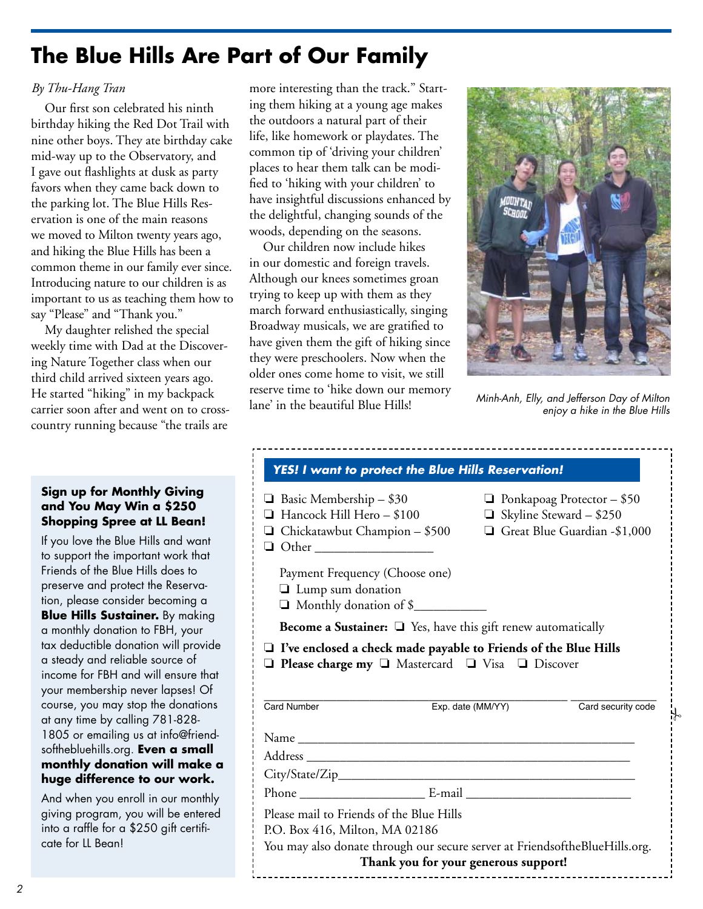# **The Blue Hills Are Part of Our Family**

### *By Thu-Hang Tran*

Our first son celebrated his ninth birthday hiking the Red Dot Trail with nine other boys. They ate birthday cake mid-way up to the Observatory, and I gave out flashlights at dusk as party favors when they came back down to the parking lot. The Blue Hills Reservation is one of the main reasons we moved to Milton twenty years ago, and hiking the Blue Hills has been a common theme in our family ever since. Introducing nature to our children is as important to us as teaching them how to say "Please" and "Thank you."

My daughter relished the special weekly time with Dad at the Discovering Nature Together class when our third child arrived sixteen years ago. He started "hiking" in my backpack carrier soon after and went on to crosscountry running because "the trails are

#### **Sign up for Monthly Giving and You May Win a \$250 Shopping Spree at LL Bean!**

If you love the Blue Hills and want to support the important work that Friends of the Blue Hills does to preserve and protect the Reservation, please consider becoming a **Blue Hills Sustainer.** By making a monthly donation to FBH, your tax deductible donation will provide a steady and reliable source of income for FBH and will ensure that your membership never lapses! Of course, you may stop the donations at any time by calling 781-828- 1805 or emailing us at info@friendsofthebluehills.org. **Even a small monthly donation will make a huge difference to our work.**

And when you enroll in our monthly giving program, you will be entered into a raffle for a \$250 gift certificate for LL Bean!

more interesting than the track." Starting them hiking at a young age makes the outdoors a natural part of their life, like homework or playdates. The common tip of 'driving your children' places to hear them talk can be modified to 'hiking with your children' to have insightful discussions enhanced by the delightful, changing sounds of the woods, depending on the seasons.

Our children now include hikes in our domestic and foreign travels. Although our knees sometimes groan trying to keep up with them as they march forward enthusiastically, singing Broadway musicals, we are gratified to have given them the gift of hiking since they were preschoolers. Now when the older ones come home to visit, we still reserve time to 'hike down our memory lane' in the beautiful Blue Hills!



Minh-Anh, Elly, and Jefferson Day of Milton enjoy a hike in the Blue Hills

| <b>YES! I want to protect the Blue Hills Reservation!</b>                                                                                                      |                                                                                                     |
|----------------------------------------------------------------------------------------------------------------------------------------------------------------|-----------------------------------------------------------------------------------------------------|
| $\Box$ Basic Membership – \$30<br>Hancock Hill Hero - \$100<br>$\Box$ Chickatawbut Champion - \$500<br>□ Other _____________________                           | $\Box$ Ponkapoag Protector - \$50<br>$\Box$ Skyline Steward - \$250<br>Great Blue Guardian -\$1,000 |
| Payment Frequency (Choose one)<br>$\Box$ Lump sum donation<br>Monthly donation of \$                                                                           |                                                                                                     |
| <b>Become a Sustainer:</b> $\Box$ Yes, have this gift renew automatically                                                                                      |                                                                                                     |
| $\Box$ I've enclosed a check made payable to Friends of the Blue Hills<br>$\Box$ Please charge my $\Box$ Mastercard $\Box$ Visa $\Box$ Discover<br>Card Number | Exp. date (MM/YY)<br>Card security code                                                             |
|                                                                                                                                                                |                                                                                                     |
|                                                                                                                                                                |                                                                                                     |
|                                                                                                                                                                |                                                                                                     |
|                                                                                                                                                                |                                                                                                     |
|                                                                                                                                                                |                                                                                                     |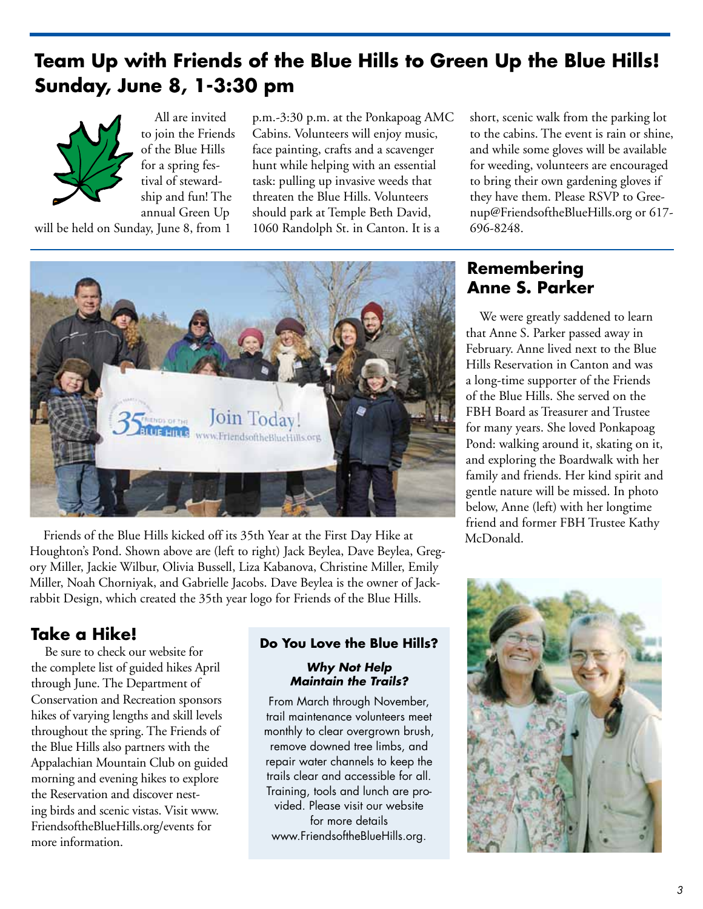# **Team Up with Friends of the Blue Hills to Green Up the Blue Hills! Sunday, June 8, 1-3:30 pm**



will be held on Sunday, June 8, from 1

All are invited to join the Friends of the Blue Hills for a spring festival of stewardship and fun! The annual Green Up

p.m.-3:30 p.m. at the Ponkapoag AMC Cabins. Volunteers will enjoy music, face painting, crafts and a scavenger hunt while helping with an essential task: pulling up invasive weeds that threaten the Blue Hills. Volunteers should park at Temple Beth David, 1060 Randolph St. in Canton. It is a

short, scenic walk from the parking lot to the cabins. The event is rain or shine, and while some gloves will be available for weeding, volunteers are encouraged to bring their own gardening gloves if they have them. Please RSVP to Greenup@FriendsoftheBlueHills.org or 617- 696-8248.



Friends of the Blue Hills kicked off its 35th Year at the First Day Hike at Houghton's Pond. Shown above are (left to right) Jack Beylea, Dave Beylea, Gregory Miller, Jackie Wilbur, Olivia Bussell, Liza Kabanova, Christine Miller, Emily Miller, Noah Chorniyak, and Gabrielle Jacobs. Dave Beylea is the owner of Jackrabbit Design, which created the 35th year logo for Friends of the Blue Hills.

### **Take a Hike!**

Be sure to check our website for the complete list of guided hikes April through June. The Department of Conservation and Recreation sponsors hikes of varying lengths and skill levels throughout the spring. The Friends of the Blue Hills also partners with the Appalachian Mountain Club on guided morning and evening hikes to explore the Reservation and discover nesting birds and scenic vistas. Visit www. FriendsoftheBlueHills.org/events for more information.

### **Do You Love the Blue Hills?**

#### **Why Not Help Maintain the Trails?**

From March through November, trail maintenance volunteers meet monthly to clear overgrown brush, remove downed tree limbs, and repair water channels to keep the trails clear and accessible for all. Training, tools and lunch are provided. Please visit our website for more details www.FriendsoftheBlueHills.org.

### **Remembering Anne S. Parker**

We were greatly saddened to learn that Anne S. Parker passed away in February. Anne lived next to the Blue Hills Reservation in Canton and was a long-time supporter of the Friends of the Blue Hills. She served on the FBH Board as Treasurer and Trustee for many years. She loved Ponkapoag Pond: walking around it, skating on it, and exploring the Boardwalk with her family and friends. Her kind spirit and gentle nature will be missed. In photo below, Anne (left) with her longtime friend and former FBH Trustee Kathy McDonald.

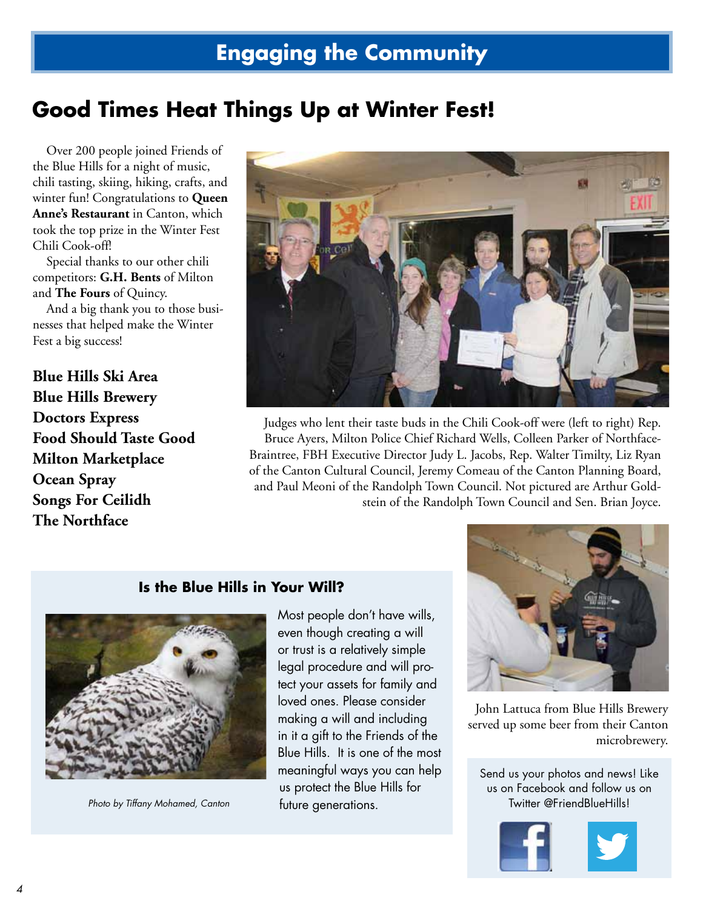# **Good Times Heat Things Up at Winter Fest!**

Over 200 people joined Friends of the Blue Hills for a night of music, chili tasting, skiing, hiking, crafts, and winter fun! Congratulations to **Queen Anne's Restaurant** in Canton, which took the top prize in the Winter Fest Chili Cook-off!

Special thanks to our other chili competitors: **G.H. Bents** of Milton and **The Fours** of Quincy.

And a big thank you to those businesses that helped make the Winter Fest a big success!

**Blue Hills Ski Area Blue Hills Brewery Doctors Express Food Should Taste Good Milton Marketplace Ocean Spray Songs For Ceilidh The Northface**



Judges who lent their taste buds in the Chili Cook-off were (left to right) Rep. Bruce Ayers, Milton Police Chief Richard Wells, Colleen Parker of Northface-Braintree, FBH Executive Director Judy L. Jacobs, Rep. Walter Timilty, Liz Ryan of the Canton Cultural Council, Jeremy Comeau of the Canton Planning Board, and Paul Meoni of the Randolph Town Council. Not pictured are Arthur Goldstein of the Randolph Town Council and Sen. Brian Joyce.

### **Is the Blue Hills in Your Will?**



Photo by Tiffany Mohamed, Canton

Most people don't have wills, even though creating a will or trust is a relatively simple legal procedure and will protect your assets for family and loved ones. Please consider making a will and including in it a gift to the Friends of the Blue Hills. It is one of the most meaningful ways you can help us protect the Blue Hills for future generations.



John Lattuca from Blue Hills Brewery served up some beer from their Canton microbrewery.

Send us your photos and news! Like us on Facebook and follow us on Twitter @FriendBlueHills!

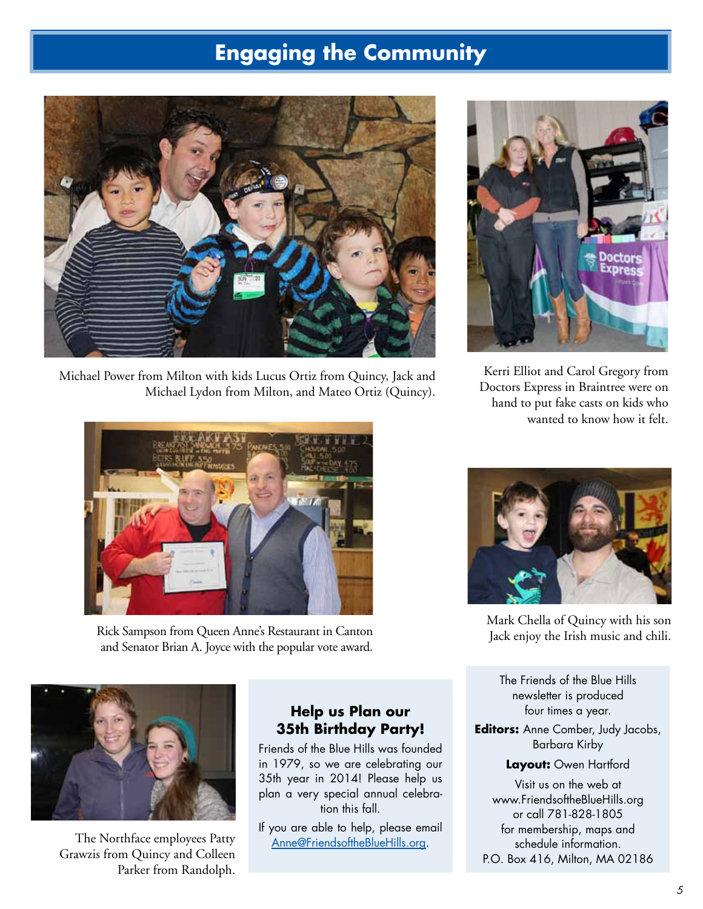# **Engaging the Community**



Michael Power from Milton with kids Lucus Ortiz from Quincy, Jack and Michael Lydon from Milton, and Mateo Ortiz (Quincy).



Rick Sampson from Queen Anne's Restaurant in Canton and Senator Brian A. Joyce with the popular vote award.



The Northface employees Patty Grawzis from Quincy and Colleen Parker from Randolph.

### **Help us Plan our 35th Birthday Party!**

Friends of the Blue Hills was founded in 1979, so we are celebrating our 35th year in 2014! Please help us plan a very special annual celebration this fall.

If you are able to help, please email Anne@FriendsoftheBlueHills.org.



Kerri Elliot and Carol Gregory from Doctors Express in Braintree were on hand to put fake casts on kids who wanted to know how it felt.



Mark Chella of Quincy with his son Jack enjoy the Irish music and chili.

The Friends of the Blue Hills newsletter is produced four times a year.

**Editors:** Anne Comber, Judy Jacobs, Barbara Kirby

#### **Layout:** Owen Hartford

Visit us on the web at www.FriendsoftheBlueHills.org or call 781-828-1805 for membership, maps and schedule information. P.O. Box 416, Milton, MA 02186